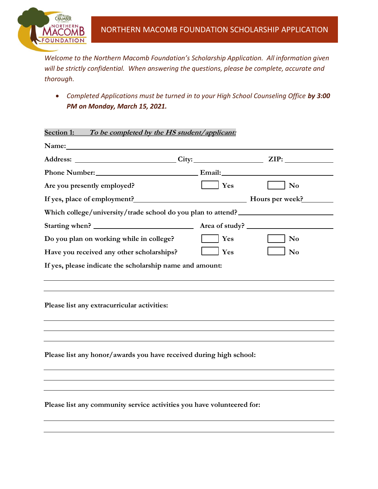

*Welcome to the Northern Macomb Foundation's Scholarship Application. All information given will be strictly confidential. When answering the questions, please be complete, accurate and thorough.*

• *Completed Applications must be turned in to your High School Counseling Office by 3:00 PM on Monday, March 15, 2021.*

**Section 1: To be completed by the HS student/applicant:**

| Phone Number: Email: Email:                                            |                |                |  |  |  |
|------------------------------------------------------------------------|----------------|----------------|--|--|--|
| Are you presently employed?                                            | $\vert$ Yes    | N <sub>0</sub> |  |  |  |
|                                                                        |                |                |  |  |  |
| Which college/university/trade school do you plan to attend?           |                |                |  |  |  |
| Starting when?                                                         | Area of study? |                |  |  |  |
| Do you plan on working while in college?                               | Yes            | N <sub>o</sub> |  |  |  |
| Have you received any other scholarships?                              | Yes            | N <sub>0</sub> |  |  |  |
| If yes, please indicate the scholarship name and amount:               |                |                |  |  |  |
| Please list any extracurricular activities:                            |                |                |  |  |  |
|                                                                        |                |                |  |  |  |
| Please list any honor/awards you have received during high school:     |                |                |  |  |  |
|                                                                        |                |                |  |  |  |
|                                                                        |                |                |  |  |  |
| Please list any community service activities you have volunteered for: |                |                |  |  |  |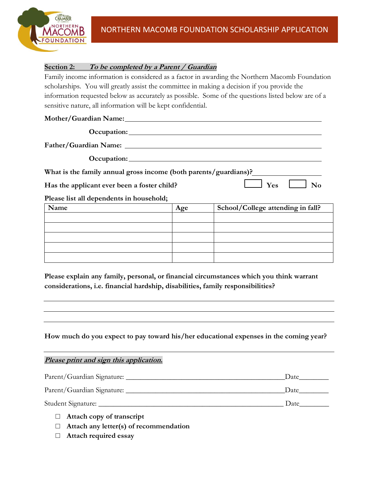

## **Section 2: To be completed by a Parent / Guardian**

Family income information is considered as a factor in awarding the Northern Macomb Foundation scholarships. You will greatly assist the committee in making a decision if you provide the information requested below as accurately as possible. Some of the questions listed below are of a sensitive nature, all information will be kept confidential.

## **Mother/Guardian Name:**

| Occupation:                                                      |     |                                   |
|------------------------------------------------------------------|-----|-----------------------------------|
| Father/Guardian Name:                                            |     |                                   |
|                                                                  |     |                                   |
| What is the family annual gross income (both parents/guardians)? |     |                                   |
| Has the applicant ever been a foster child?                      |     | Yes<br>$\mathbf{N}\mathbf{0}$     |
| Please list all dependents in household;                         |     |                                   |
| Name                                                             | Age | School/College attending in fall? |
|                                                                  |     |                                   |
|                                                                  |     |                                   |

**Please explain any family, personal, or financial circumstances which you think warrant** 

**considerations, i.e. financial hardship, disabilities, family responsibilities?**

**How much do you expect to pay toward his/her educational expenses in the coming year?** 

**Please print and sign this application.**  Parent/Guardian Signature: \_\_\_\_\_\_\_\_\_\_\_\_\_\_\_\_\_\_\_\_\_\_\_\_\_\_\_\_\_\_\_\_\_\_\_\_\_\_\_\_\_\_\_Date\_\_\_\_\_\_\_\_ Parent/Guardian Signature: \_\_\_\_\_\_\_\_\_\_\_\_\_\_\_\_\_\_\_\_\_\_\_\_\_\_\_\_\_\_\_\_\_\_\_\_\_\_\_\_\_\_\_Date\_\_\_\_\_\_\_\_ Student Signature: \_\_\_\_\_\_\_\_\_\_\_\_\_\_\_\_\_\_\_\_\_\_\_\_\_\_\_\_\_\_\_\_\_\_\_\_\_\_\_\_\_\_\_\_\_\_\_\_\_\_ Date\_\_\_\_\_\_\_\_

- □ **Attach copy of transcript**
- □ **Attach any letter(s) of recommendation**
- □ **Attach required essay**